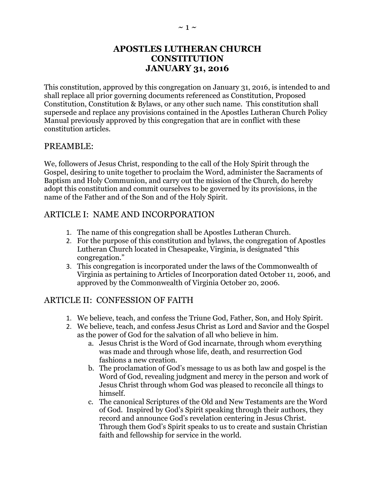## **APOSTLES LUTHERAN CHURCH CONSTITUTION JANUARY 31, 2016**

This constitution, approved by this congregation on January 31, 2016, is intended to and shall replace all prior governing documents referenced as Constitution, Proposed Constitution, Constitution & Bylaws, or any other such name. This constitution shall supersede and replace any provisions contained in the Apostles Lutheran Church Policy Manual previously approved by this congregation that are in conflict with these constitution articles.

#### PREAMBLE:

We, followers of Jesus Christ, responding to the call of the Holy Spirit through the Gospel, desiring to unite together to proclaim the Word, administer the Sacraments of Baptism and Holy Communion, and carry out the mission of the Church, do hereby adopt this constitution and commit ourselves to be governed by its provisions, in the name of the Father and of the Son and of the Holy Spirit.

## ARTICLE I: NAME AND INCORPORATION

- 1. The name of this congregation shall be Apostles Lutheran Church.
- 2. For the purpose of this constitution and bylaws, the congregation of Apostles Lutheran Church located in Chesapeake, Virginia, is designated "this congregation."
- 3. This congregation is incorporated under the laws of the Commonwealth of Virginia as pertaining to Articles of Incorporation dated October 11, 2006, and approved by the Commonwealth of Virginia October 20, 2006.

## ARTICLE II: CONFESSION OF FAITH

- 1. We believe, teach, and confess the Triune God, Father, Son, and Holy Spirit.
- 2. We believe, teach, and confess Jesus Christ as Lord and Savior and the Gospel as the power of God for the salvation of all who believe in him.
	- a. Jesus Christ is the Word of God incarnate, through whom everything was made and through whose life, death, and resurrection God fashions a new creation.
	- b. The proclamation of God's message to us as both law and gospel is the Word of God, revealing judgment and mercy in the person and work of Jesus Christ through whom God was pleased to reconcile all things to himself.
	- c. The canonical Scriptures of the Old and New Testaments are the Word of God. Inspired by God's Spirit speaking through their authors, they record and announce God's revelation centering in Jesus Christ. Through them God's Spirit speaks to us to create and sustain Christian faith and fellowship for service in the world.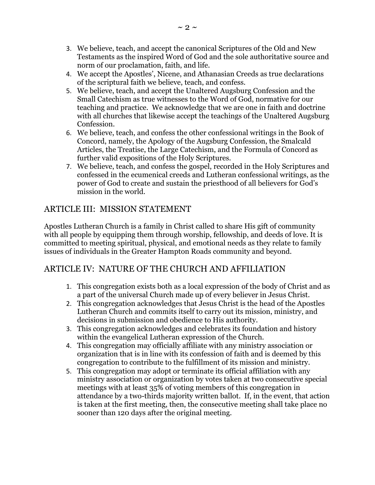- 3. We believe, teach, and accept the canonical Scriptures of the Old and New Testaments as the inspired Word of God and the sole authoritative source and norm of our proclamation, faith, and life.
- 4. We accept the Apostles', Nicene, and Athanasian Creeds as true declarations of the scriptural faith we believe, teach, and confess.
- 5. We believe, teach, and accept the Unaltered Augsburg Confession and the Small Catechism as true witnesses to the Word of God, normative for our teaching and practice. We acknowledge that we are one in faith and doctrine with all churches that likewise accept the teachings of the Unaltered Augsburg Confession.
- 6. We believe, teach, and confess the other confessional writings in the Book of Concord, namely, the Apology of the Augsburg Confession, the Smalcald Articles, the Treatise, the Large Catechism, and the Formula of Concord as further valid expositions of the Holy Scriptures.
- 7. We believe, teach, and confess the gospel, recorded in the Holy Scriptures and confessed in the ecumenical creeds and Lutheran confessional writings, as the power of God to create and sustain the priesthood of all believers for God's mission in the world.

## ARTICLE III: MISSION STATEMENT

Apostles Lutheran Church is a family in Christ called to share His gift of community with all people by equipping them through worship, fellowship, and deeds of love. It is committed to meeting spiritual, physical, and emotional needs as they relate to family issues of individuals in the Greater Hampton Roads community and beyond.

## ARTICLE IV: NATURE OF THE CHURCH AND AFFILIATION

- 1. This congregation exists both as a local expression of the body of Christ and as a part of the universal Church made up of every believer in Jesus Christ.
- 2. This congregation acknowledges that Jesus Christ is the head of the Apostles Lutheran Church and commits itself to carry out its mission, ministry, and decisions in submission and obedience to His authority.
- 3. This congregation acknowledges and celebrates its foundation and history within the evangelical Lutheran expression of the Church.
- 4. This congregation may officially affiliate with any ministry association or organization that is in line with its confession of faith and is deemed by this congregation to contribute to the fulfillment of its mission and ministry.
- 5. This congregation may adopt or terminate its official affiliation with any ministry association or organization by votes taken at two consecutive special meetings with at least 35% of voting members of this congregation in attendance by a two-thirds majority written ballot. If, in the event, that action is taken at the first meeting, then, the consecutive meeting shall take place no sooner than 120 days after the original meeting.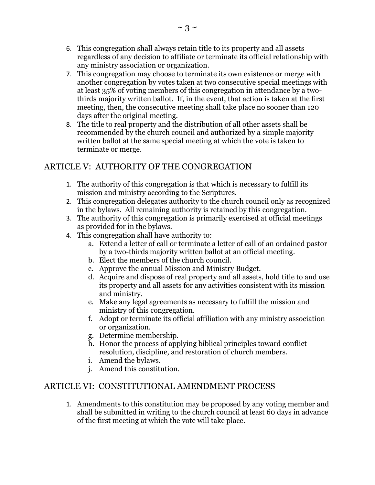- 6. This congregation shall always retain title to its property and all assets regardless of any decision to affiliate or terminate its official relationship with any ministry association or organization.
- 7. This congregation may choose to terminate its own existence or merge with another congregation by votes taken at two consecutive special meetings with at least 35% of voting members of this congregation in attendance by a twothirds majority written ballot. If, in the event, that action is taken at the first meeting, then, the consecutive meeting shall take place no sooner than 120 days after the original meeting.
- 8. The title to real property and the distribution of all other assets shall be recommended by the church council and authorized by a simple majority written ballot at the same special meeting at which the vote is taken to terminate or merge.

# ARTICLE V: AUTHORITY OF THE CONGREGATION

- 1. The authority of this congregation is that which is necessary to fulfill its mission and ministry according to the Scriptures.
- 2. This congregation delegates authority to the church council only as recognized in the bylaws. All remaining authority is retained by this congregation.
- 3. The authority of this congregation is primarily exercised at official meetings as provided for in the bylaws.
- 4. This congregation shall have authority to:
	- a. Extend a letter of call or terminate a letter of call of an ordained pastor by a two-thirds majority written ballot at an official meeting.
	- b. Elect the members of the church council.
	- c. Approve the annual Mission and Ministry Budget.
	- d. Acquire and dispose of real property and all assets, hold title to and use its property and all assets for any activities consistent with its mission and ministry.
	- e. Make any legal agreements as necessary to fulfill the mission and ministry of this congregation.
	- f. Adopt or terminate its official affiliation with any ministry association or organization.
	- g. Determine membership.
	- h. Honor the process of applying biblical principles toward conflict resolution, discipline, and restoration of church members.
	- i. Amend the bylaws.
	- j. Amend this constitution.

## ARTICLE VI: CONSTITUTIONAL AMENDMENT PROCESS

1. Amendments to this constitution may be proposed by any voting member and shall be submitted in writing to the church council at least 60 days in advance of the first meeting at which the vote will take place.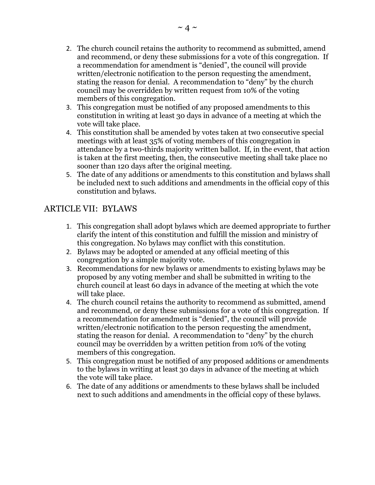- 2. The church council retains the authority to recommend as submitted, amend and recommend, or deny these submissions for a vote of this congregation. If a recommendation for amendment is "denied", the council will provide written/electronic notification to the person requesting the amendment, stating the reason for denial. A recommendation to "deny" by the church council may be overridden by written request from 10% of the voting members of this congregation.
- 3. This congregation must be notified of any proposed amendments to this constitution in writing at least 30 days in advance of a meeting at which the vote will take place.
- 4. This constitution shall be amended by votes taken at two consecutive special meetings with at least 35% of voting members of this congregation in attendance by a two-thirds majority written ballot. If, in the event, that action is taken at the first meeting, then, the consecutive meeting shall take place no sooner than 120 days after the original meeting.
- 5. The date of any additions or amendments to this constitution and bylaws shall be included next to such additions and amendments in the official copy of this constitution and bylaws.

## ARTICLE VII: BYLAWS

- 1. This congregation shall adopt bylaws which are deemed appropriate to further clarify the intent of this constitution and fulfill the mission and ministry of this congregation. No bylaws may conflict with this constitution.
- 2. Bylaws may be adopted or amended at any official meeting of this congregation by a simple majority vote.
- 3. Recommendations for new bylaws or amendments to existing bylaws may be proposed by any voting member and shall be submitted in writing to the church council at least 60 days in advance of the meeting at which the vote will take place.
- 4. The church council retains the authority to recommend as submitted, amend and recommend, or deny these submissions for a vote of this congregation. If a recommendation for amendment is "denied", the council will provide written/electronic notification to the person requesting the amendment, stating the reason for denial. A recommendation to "deny" by the church council may be overridden by a written petition from 10% of the voting members of this congregation.
- 5. This congregation must be notified of any proposed additions or amendments to the bylaws in writing at least 30 days in advance of the meeting at which the vote will take place.
- 6. The date of any additions or amendments to these bylaws shall be included next to such additions and amendments in the official copy of these bylaws.